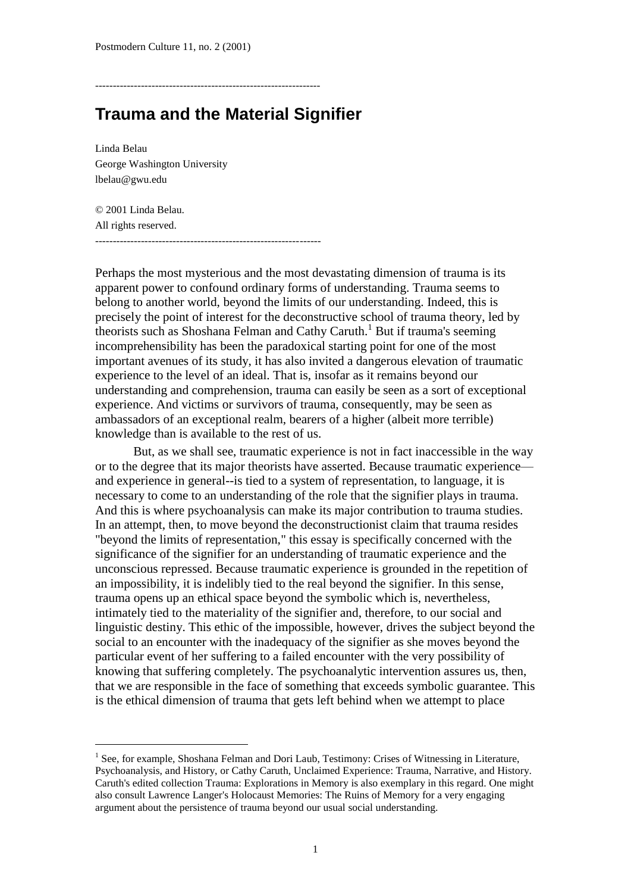----------------------------------------------------------------

## **Trauma and the Material Signifier**

Linda Belau George Washington University lbelau@gwu.edu

l

© 2001 Linda Belau. All rights reserved. ----------------------------------------------------------------

Perhaps the most mysterious and the most devastating dimension of trauma is its apparent power to confound ordinary forms of understanding. Trauma seems to belong to another world, beyond the limits of our understanding. Indeed, this is precisely the point of interest for the deconstructive school of trauma theory, led by theorists such as Shoshana Felman and Cathy Caruth.<sup>1</sup> But if trauma's seeming incomprehensibility has been the paradoxical starting point for one of the most important avenues of its study, it has also invited a dangerous elevation of traumatic experience to the level of an ideal. That is, insofar as it remains beyond our understanding and comprehension, trauma can easily be seen as a sort of exceptional experience. And victims or survivors of trauma, consequently, may be seen as ambassadors of an exceptional realm, bearers of a higher (albeit more terrible) knowledge than is available to the rest of us.

But, as we shall see, traumatic experience is not in fact inaccessible in the way or to the degree that its major theorists have asserted. Because traumatic experience and experience in general--is tied to a system of representation, to language, it is necessary to come to an understanding of the role that the signifier plays in trauma. And this is where psychoanalysis can make its major contribution to trauma studies. In an attempt, then, to move beyond the deconstructionist claim that trauma resides "beyond the limits of representation," this essay is specifically concerned with the significance of the signifier for an understanding of traumatic experience and the unconscious repressed. Because traumatic experience is grounded in the repetition of an impossibility, it is indelibly tied to the real beyond the signifier. In this sense, trauma opens up an ethical space beyond the symbolic which is, nevertheless, intimately tied to the materiality of the signifier and, therefore, to our social and linguistic destiny. This ethic of the impossible, however, drives the subject beyond the social to an encounter with the inadequacy of the signifier as she moves beyond the particular event of her suffering to a failed encounter with the very possibility of knowing that suffering completely. The psychoanalytic intervention assures us, then, that we are responsible in the face of something that exceeds symbolic guarantee. This is the ethical dimension of trauma that gets left behind when we attempt to place

<sup>&</sup>lt;sup>1</sup> See, for example, Shoshana Felman and Dori Laub, Testimony: Crises of Witnessing in Literature, Psychoanalysis, and History, or Cathy Caruth, Unclaimed Experience: Trauma, Narrative, and History. Caruth's edited collection Trauma: Explorations in Memory is also exemplary in this regard. One might also consult Lawrence Langer's Holocaust Memories: The Ruins of Memory for a very engaging argument about the persistence of trauma beyond our usual social understanding.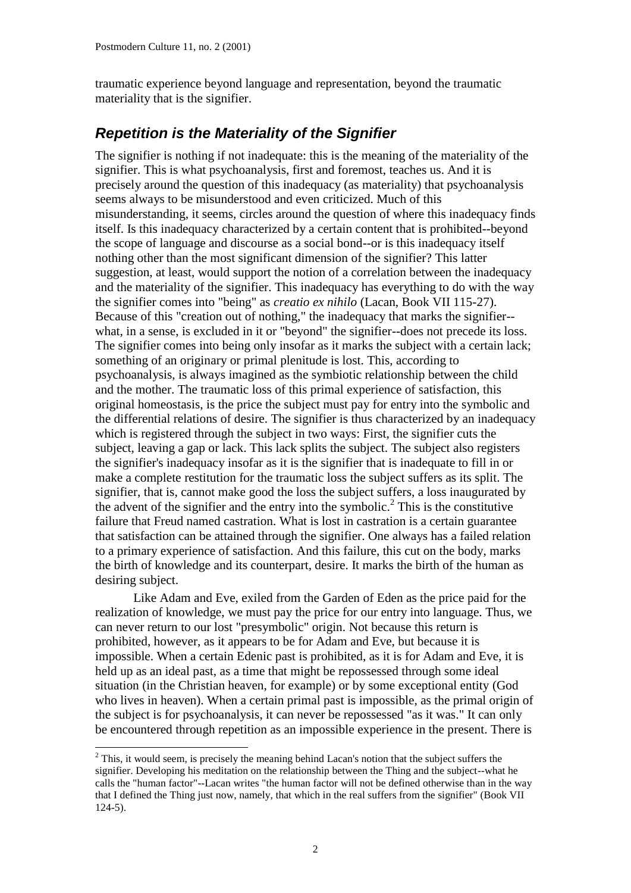traumatic experience beyond language and representation, beyond the traumatic materiality that is the signifier.

### *Repetition is the Materiality of the Signifier*

The signifier is nothing if not inadequate: this is the meaning of the materiality of the signifier. This is what psychoanalysis, first and foremost, teaches us. And it is precisely around the question of this inadequacy (as materiality) that psychoanalysis seems always to be misunderstood and even criticized. Much of this misunderstanding, it seems, circles around the question of where this inadequacy finds itself. Is this inadequacy characterized by a certain content that is prohibited--beyond the scope of language and discourse as a social bond--or is this inadequacy itself nothing other than the most significant dimension of the signifier? This latter suggestion, at least, would support the notion of a correlation between the inadequacy and the materiality of the signifier. This inadequacy has everything to do with the way the signifier comes into "being" as *creatio ex nihilo* (Lacan, Book VII 115-27). Because of this "creation out of nothing," the inadequacy that marks the signifier- what, in a sense, is excluded in it or "beyond" the signifier--does not precede its loss. The signifier comes into being only insofar as it marks the subject with a certain lack; something of an originary or primal plenitude is lost. This, according to psychoanalysis, is always imagined as the symbiotic relationship between the child and the mother. The traumatic loss of this primal experience of satisfaction, this original homeostasis, is the price the subject must pay for entry into the symbolic and the differential relations of desire. The signifier is thus characterized by an inadequacy which is registered through the subject in two ways: First, the signifier cuts the subject, leaving a gap or lack. This lack splits the subject. The subject also registers the signifier's inadequacy insofar as it is the signifier that is inadequate to fill in or make a complete restitution for the traumatic loss the subject suffers as its split. The signifier, that is, cannot make good the loss the subject suffers, a loss inaugurated by the advent of the signifier and the entry into the symbolic.<sup>2</sup> This is the constitutive failure that Freud named castration. What is lost in castration is a certain guarantee that satisfaction can be attained through the signifier. One always has a failed relation to a primary experience of satisfaction. And this failure, this cut on the body, marks the birth of knowledge and its counterpart, desire. It marks the birth of the human as desiring subject.

Like Adam and Eve, exiled from the Garden of Eden as the price paid for the realization of knowledge, we must pay the price for our entry into language. Thus, we can never return to our lost "presymbolic" origin. Not because this return is prohibited, however, as it appears to be for Adam and Eve, but because it is impossible. When a certain Edenic past is prohibited, as it is for Adam and Eve, it is held up as an ideal past, as a time that might be repossessed through some ideal situation (in the Christian heaven, for example) or by some exceptional entity (God who lives in heaven). When a certain primal past is impossible, as the primal origin of the subject is for psychoanalysis, it can never be repossessed "as it was." It can only be encountered through repetition as an impossible experience in the present. There is

 $2$  This, it would seem, is precisely the meaning behind Lacan's notion that the subject suffers the signifier. Developing his meditation on the relationship between the Thing and the subject--what he calls the "human factor"--Lacan writes "the human factor will not be defined otherwise than in the way that I defined the Thing just now, namely, that which in the real suffers from the signifier" (Book VII 124-5).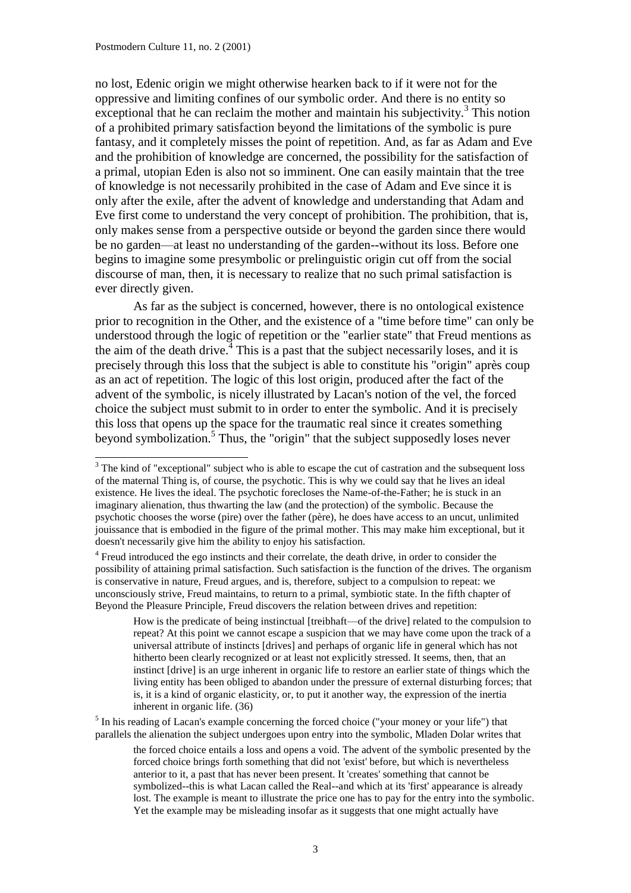no lost, Edenic origin we might otherwise hearken back to if it were not for the oppressive and limiting confines of our symbolic order. And there is no entity so exceptional that he can reclaim the mother and maintain his subjectivity.<sup>3</sup> This notion of a prohibited primary satisfaction beyond the limitations of the symbolic is pure fantasy, and it completely misses the point of repetition. And, as far as Adam and Eve and the prohibition of knowledge are concerned, the possibility for the satisfaction of a primal, utopian Eden is also not so imminent. One can easily maintain that the tree of knowledge is not necessarily prohibited in the case of Adam and Eve since it is only after the exile, after the advent of knowledge and understanding that Adam and Eve first come to understand the very concept of prohibition. The prohibition, that is, only makes sense from a perspective outside or beyond the garden since there would be no garden—at least no understanding of the garden--without its loss. Before one begins to imagine some presymbolic or prelinguistic origin cut off from the social discourse of man, then, it is necessary to realize that no such primal satisfaction is ever directly given.

As far as the subject is concerned, however, there is no ontological existence prior to recognition in the Other, and the existence of a "time before time" can only be understood through the logic of repetition or the "earlier state" that Freud mentions as the aim of the death drive.<sup> $\frac{3}{4}$ </sup> This is a past that the subject necessarily loses, and it is precisely through this loss that the subject is able to constitute his "origin" après coup as an act of repetition. The logic of this lost origin, produced after the fact of the advent of the symbolic, is nicely illustrated by Lacan's notion of the vel, the forced choice the subject must submit to in order to enter the symbolic. And it is precisely this loss that opens up the space for the traumatic real since it creates something beyond symbolization.<sup>5</sup> Thus, the "origin" that the subject supposedly loses never

<sup>4</sup> Freud introduced the ego instincts and their correlate, the death drive, in order to consider the possibility of attaining primal satisfaction. Such satisfaction is the function of the drives. The organism is conservative in nature, Freud argues, and is, therefore, subject to a compulsion to repeat: we unconsciously strive, Freud maintains, to return to a primal, symbiotic state. In the fifth chapter of Beyond the Pleasure Principle, Freud discovers the relation between drives and repetition:

 $<sup>5</sup>$  In his reading of Lacan's example concerning the forced choice ("your money or your life") that</sup> parallels the alienation the subject undergoes upon entry into the symbolic, Mladen Dolar writes that

<sup>&</sup>lt;sup>3</sup> The kind of "exceptional" subject who is able to escape the cut of castration and the subsequent loss of the maternal Thing is, of course, the psychotic. This is why we could say that he lives an ideal existence. He lives the ideal. The psychotic forecloses the Name-of-the-Father; he is stuck in an imaginary alienation, thus thwarting the law (and the protection) of the symbolic. Because the psychotic chooses the worse (pire) over the father (père), he does have access to an uncut, unlimited jouissance that is embodied in the figure of the primal mother. This may make him exceptional, but it doesn't necessarily give him the ability to enjoy his satisfaction.

How is the predicate of being instinctual [treibhaft—of the drive] related to the compulsion to repeat? At this point we cannot escape a suspicion that we may have come upon the track of a universal attribute of instincts [drives] and perhaps of organic life in general which has not hitherto been clearly recognized or at least not explicitly stressed. It seems, then, that an instinct [drive] is an urge inherent in organic life to restore an earlier state of things which the living entity has been obliged to abandon under the pressure of external disturbing forces; that is, it is a kind of organic elasticity, or, to put it another way, the expression of the inertia inherent in organic life. (36)

the forced choice entails a loss and opens a void. The advent of the symbolic presented by the forced choice brings forth something that did not 'exist' before, but which is nevertheless anterior to it, a past that has never been present. It 'creates' something that cannot be symbolized--this is what Lacan called the Real--and which at its 'first' appearance is already lost. The example is meant to illustrate the price one has to pay for the entry into the symbolic. Yet the example may be misleading insofar as it suggests that one might actually have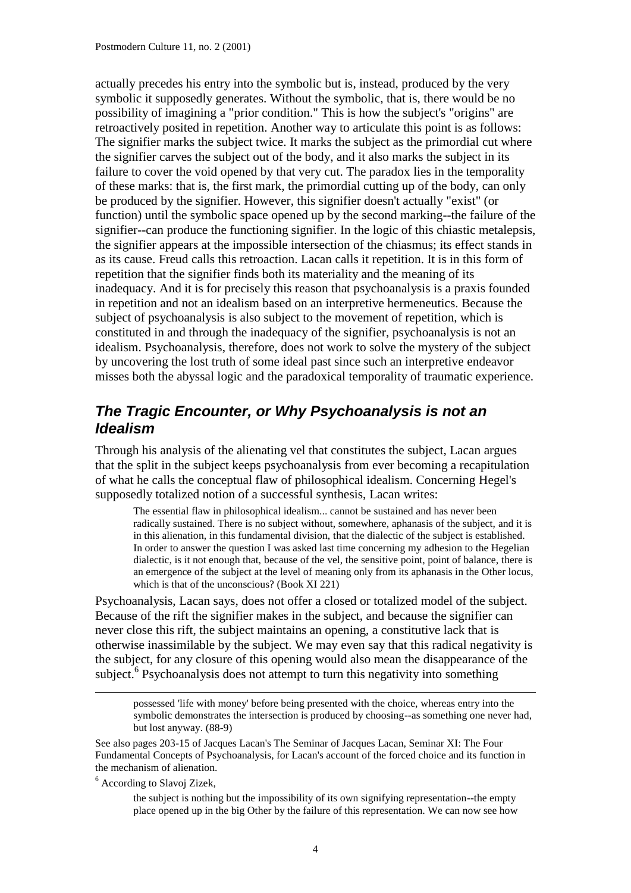actually precedes his entry into the symbolic but is, instead, produced by the very symbolic it supposedly generates. Without the symbolic, that is, there would be no possibility of imagining a "prior condition." This is how the subject's "origins" are retroactively posited in repetition. Another way to articulate this point is as follows: The signifier marks the subject twice. It marks the subject as the primordial cut where the signifier carves the subject out of the body, and it also marks the subject in its failure to cover the void opened by that very cut. The paradox lies in the temporality of these marks: that is, the first mark, the primordial cutting up of the body, can only be produced by the signifier. However, this signifier doesn't actually "exist" (or function) until the symbolic space opened up by the second marking--the failure of the signifier--can produce the functioning signifier. In the logic of this chiastic metalepsis, the signifier appears at the impossible intersection of the chiasmus; its effect stands in as its cause. Freud calls this retroaction. Lacan calls it repetition. It is in this form of repetition that the signifier finds both its materiality and the meaning of its inadequacy. And it is for precisely this reason that psychoanalysis is a praxis founded in repetition and not an idealism based on an interpretive hermeneutics. Because the subject of psychoanalysis is also subject to the movement of repetition, which is constituted in and through the inadequacy of the signifier, psychoanalysis is not an idealism. Psychoanalysis, therefore, does not work to solve the mystery of the subject by uncovering the lost truth of some ideal past since such an interpretive endeavor misses both the abyssal logic and the paradoxical temporality of traumatic experience.

#### *The Tragic Encounter, or Why Psychoanalysis is not an Idealism*

Through his analysis of the alienating vel that constitutes the subject, Lacan argues that the split in the subject keeps psychoanalysis from ever becoming a recapitulation of what he calls the conceptual flaw of philosophical idealism. Concerning Hegel's supposedly totalized notion of a successful synthesis, Lacan writes:

The essential flaw in philosophical idealism... cannot be sustained and has never been radically sustained. There is no subject without, somewhere, aphanasis of the subject, and it is in this alienation, in this fundamental division, that the dialectic of the subject is established. In order to answer the question I was asked last time concerning my adhesion to the Hegelian dialectic, is it not enough that, because of the vel, the sensitive point, point of balance, there is an emergence of the subject at the level of meaning only from its aphanasis in the Other locus, which is that of the unconscious? (Book XI 221)

Psychoanalysis, Lacan says, does not offer a closed or totalized model of the subject. Because of the rift the signifier makes in the subject, and because the signifier can never close this rift, the subject maintains an opening, a constitutive lack that is otherwise inassimilable by the subject. We may even say that this radical negativity is the subject, for any closure of this opening would also mean the disappearance of the subject.<sup>6</sup> Psychoanalysis does not attempt to turn this negativity into something

possessed 'life with money' before being presented with the choice, whereas entry into the symbolic demonstrates the intersection is produced by choosing--as something one never had, but lost anyway. (88-9)

See also pages 203-15 of Jacques Lacan's The Seminar of Jacques Lacan, Seminar XI: The Four Fundamental Concepts of Psychoanalysis, for Lacan's account of the forced choice and its function in the mechanism of alienation.

<sup>6</sup> According to Slavoj Zizek,

1

the subject is nothing but the impossibility of its own signifying representation--the empty place opened up in the big Other by the failure of this representation. We can now see how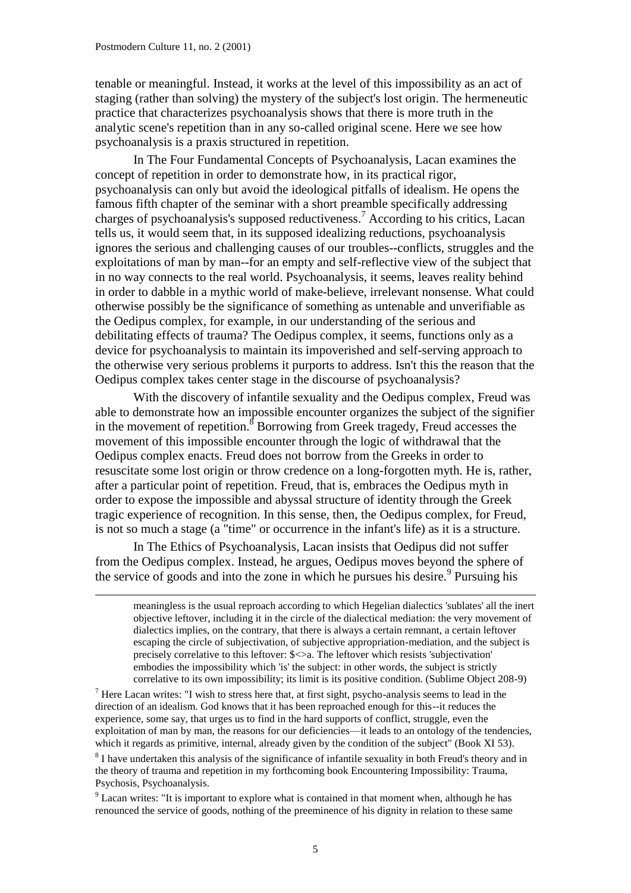-

tenable or meaningful. Instead, it works at the level of this impossibility as an act of staging (rather than solving) the mystery of the subject's lost origin. The hermeneutic practice that characterizes psychoanalysis shows that there is more truth in the analytic scene's repetition than in any so-called original scene. Here we see how psychoanalysis is a praxis structured in repetition.

In The Four Fundamental Concepts of Psychoanalysis, Lacan examines the concept of repetition in order to demonstrate how, in its practical rigor, psychoanalysis can only but avoid the ideological pitfalls of idealism. He opens the famous fifth chapter of the seminar with a short preamble specifically addressing charges of psychoanalysis's supposed reductiveness.<sup>7</sup> According to his critics, Lacan tells us, it would seem that, in its supposed idealizing reductions, psychoanalysis ignores the serious and challenging causes of our troubles--conflicts, struggles and the exploitations of man by man--for an empty and self-reflective view of the subject that in no way connects to the real world. Psychoanalysis, it seems, leaves reality behind in order to dabble in a mythic world of make-believe, irrelevant nonsense. What could otherwise possibly be the significance of something as untenable and unverifiable as the Oedipus complex, for example, in our understanding of the serious and debilitating effects of trauma? The Oedipus complex, it seems, functions only as a device for psychoanalysis to maintain its impoverished and self-serving approach to the otherwise very serious problems it purports to address. Isn't this the reason that the Oedipus complex takes center stage in the discourse of psychoanalysis?

With the discovery of infantile sexuality and the Oedipus complex, Freud was able to demonstrate how an impossible encounter organizes the subject of the signifier in the movement of repetition.<sup>8</sup> Borrowing from Greek tragedy, Freud accesses the movement of this impossible encounter through the logic of withdrawal that the Oedipus complex enacts. Freud does not borrow from the Greeks in order to resuscitate some lost origin or throw credence on a long-forgotten myth. He is, rather, after a particular point of repetition. Freud, that is, embraces the Oedipus myth in order to expose the impossible and abyssal structure of identity through the Greek tragic experience of recognition. In this sense, then, the Oedipus complex, for Freud, is not so much a stage (a "time" or occurrence in the infant's life) as it is a structure.

In The Ethics of Psychoanalysis, Lacan insists that Oedipus did not suffer from the Oedipus complex. Instead, he argues, Oedipus moves beyond the sphere of the service of goods and into the zone in which he pursues his desire.<sup>9</sup> Pursuing his

meaningless is the usual reproach according to which Hegelian dialectics 'sublates' all the inert objective leftover, including it in the circle of the dialectical mediation: the very movement of dialectics implies, on the contrary, that there is always a certain remnant, a certain leftover escaping the circle of subjectivation, of subjective appropriation-mediation, and the subject is precisely correlative to this leftover: \$<>a. The leftover which resists 'subjectivation' embodies the impossibility which 'is' the subject: in other words, the subject is strictly correlative to its own impossibility; its limit is its positive condition. (Sublime Object 208-9)

 $<sup>7</sup>$  Here Lacan writes: "I wish to stress here that, at first sight, psycho-analysis seems to lead in the</sup> direction of an idealism. God knows that it has been reproached enough for this--it reduces the experience, some say, that urges us to find in the hard supports of conflict, struggle, even the exploitation of man by man, the reasons for our deficiencies—it leads to an ontology of the tendencies, which it regards as primitive, internal, already given by the condition of the subject" (Book XI 53).

<sup>8</sup> I have undertaken this analysis of the significance of infantile sexuality in both Freud's theory and in the theory of trauma and repetition in my forthcoming book Encountering Impossibility: Trauma, Psychosis, Psychoanalysis.

<sup>9</sup> Lacan writes: "It is important to explore what is contained in that moment when, although he has renounced the service of goods, nothing of the preeminence of his dignity in relation to these same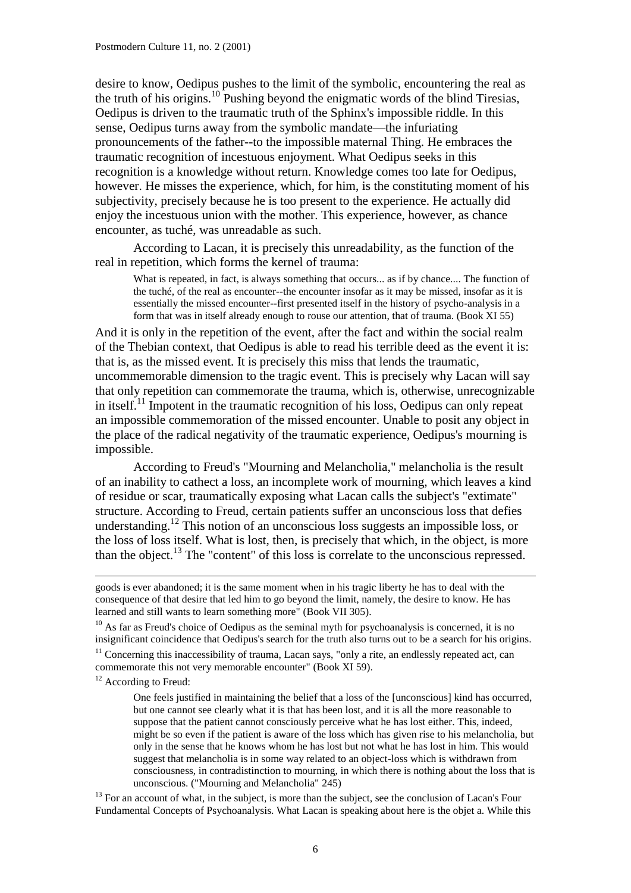desire to know, Oedipus pushes to the limit of the symbolic, encountering the real as the truth of his origins.<sup>10</sup> Pushing beyond the enigmatic words of the blind Tiresias, Oedipus is driven to the traumatic truth of the Sphinx's impossible riddle. In this sense, Oedipus turns away from the symbolic mandate—the infuriating pronouncements of the father--to the impossible maternal Thing. He embraces the traumatic recognition of incestuous enjoyment. What Oedipus seeks in this recognition is a knowledge without return. Knowledge comes too late for Oedipus, however. He misses the experience, which, for him, is the constituting moment of his subjectivity, precisely because he is too present to the experience. He actually did enjoy the incestuous union with the mother. This experience, however, as chance encounter, as tuché, was unreadable as such.

According to Lacan, it is precisely this unreadability, as the function of the real in repetition, which forms the kernel of trauma:

What is repeated, in fact, is always something that occurs... as if by chance.... The function of the tuché, of the real as encounter--the encounter insofar as it may be missed, insofar as it is essentially the missed encounter--first presented itself in the history of psycho-analysis in a form that was in itself already enough to rouse our attention, that of trauma. (Book XI 55)

And it is only in the repetition of the event, after the fact and within the social realm of the Thebian context, that Oedipus is able to read his terrible deed as the event it is: that is, as the missed event. It is precisely this miss that lends the traumatic, uncommemorable dimension to the tragic event. This is precisely why Lacan will say that only repetition can commemorate the trauma, which is, otherwise, unrecognizable in itself.<sup>11</sup> Impotent in the traumatic recognition of his loss, Oedipus can only repeat an impossible commemoration of the missed encounter. Unable to posit any object in the place of the radical negativity of the traumatic experience, Oedipus's mourning is impossible.

According to Freud's "Mourning and Melancholia," melancholia is the result of an inability to cathect a loss, an incomplete work of mourning, which leaves a kind of residue or scar, traumatically exposing what Lacan calls the subject's "extimate" structure. According to Freud, certain patients suffer an unconscious loss that defies understanding.<sup>12</sup> This notion of an unconscious loss suggests an impossible loss, or the loss of loss itself. What is lost, then, is precisely that which, in the object, is more than the object.<sup>13</sup> The "content" of this loss is correlate to the unconscious repressed.

 $10$  As far as Freud's choice of Oedipus as the seminal myth for psychoanalysis is concerned, it is no insignificant coincidence that Oedipus's search for the truth also turns out to be a search for his origins.

 $11$  Concerning this inaccessibility of trauma, Lacan says, "only a rite, an endlessly repeated act, can commemorate this not very memorable encounter" (Book XI 59).

<sup>12</sup> According to Freud:

-

One feels justified in maintaining the belief that a loss of the [unconscious] kind has occurred, but one cannot see clearly what it is that has been lost, and it is all the more reasonable to suppose that the patient cannot consciously perceive what he has lost either. This, indeed, might be so even if the patient is aware of the loss which has given rise to his melancholia, but only in the sense that he knows whom he has lost but not what he has lost in him. This would suggest that melancholia is in some way related to an object-loss which is withdrawn from consciousness, in contradistinction to mourning, in which there is nothing about the loss that is unconscious. ("Mourning and Melancholia" 245)

 $13$  For an account of what, in the subject, is more than the subject, see the conclusion of Lacan's Four Fundamental Concepts of Psychoanalysis. What Lacan is speaking about here is the objet a. While this

goods is ever abandoned; it is the same moment when in his tragic liberty he has to deal with the consequence of that desire that led him to go beyond the limit, namely, the desire to know. He has learned and still wants to learn something more" (Book VII 305).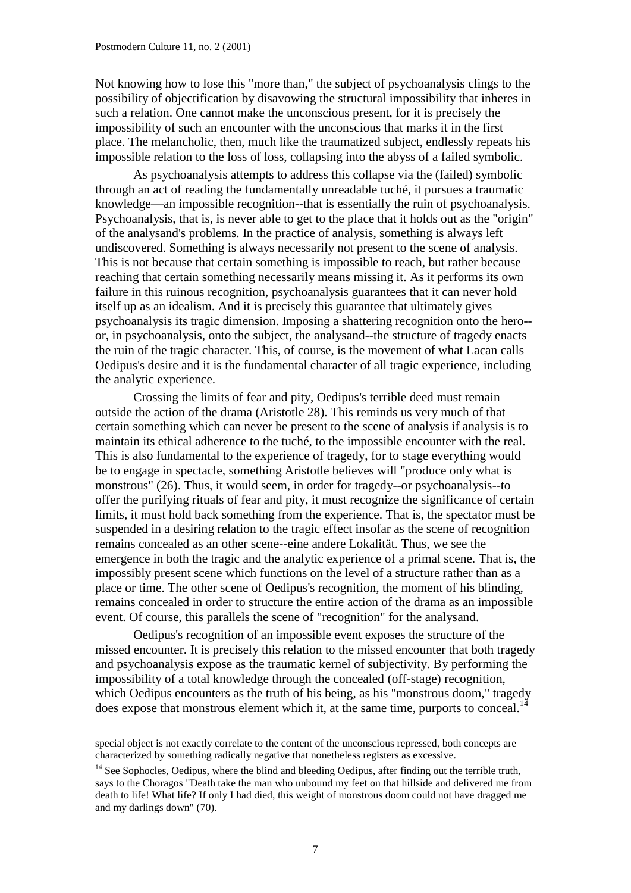1

Not knowing how to lose this "more than," the subject of psychoanalysis clings to the possibility of objectification by disavowing the structural impossibility that inheres in such a relation. One cannot make the unconscious present, for it is precisely the impossibility of such an encounter with the unconscious that marks it in the first place. The melancholic, then, much like the traumatized subject, endlessly repeats his impossible relation to the loss of loss, collapsing into the abyss of a failed symbolic.

As psychoanalysis attempts to address this collapse via the (failed) symbolic through an act of reading the fundamentally unreadable tuché, it pursues a traumatic knowledge—an impossible recognition--that is essentially the ruin of psychoanalysis. Psychoanalysis, that is, is never able to get to the place that it holds out as the "origin" of the analysand's problems. In the practice of analysis, something is always left undiscovered. Something is always necessarily not present to the scene of analysis. This is not because that certain something is impossible to reach, but rather because reaching that certain something necessarily means missing it. As it performs its own failure in this ruinous recognition, psychoanalysis guarantees that it can never hold itself up as an idealism. And it is precisely this guarantee that ultimately gives psychoanalysis its tragic dimension. Imposing a shattering recognition onto the hero- or, in psychoanalysis, onto the subject, the analysand--the structure of tragedy enacts the ruin of the tragic character. This, of course, is the movement of what Lacan calls Oedipus's desire and it is the fundamental character of all tragic experience, including the analytic experience.

Crossing the limits of fear and pity, Oedipus's terrible deed must remain outside the action of the drama (Aristotle 28). This reminds us very much of that certain something which can never be present to the scene of analysis if analysis is to maintain its ethical adherence to the tuché, to the impossible encounter with the real. This is also fundamental to the experience of tragedy, for to stage everything would be to engage in spectacle, something Aristotle believes will "produce only what is monstrous" (26). Thus, it would seem, in order for tragedy--or psychoanalysis--to offer the purifying rituals of fear and pity, it must recognize the significance of certain limits, it must hold back something from the experience. That is, the spectator must be suspended in a desiring relation to the tragic effect insofar as the scene of recognition remains concealed as an other scene--eine andere Lokalität. Thus, we see the emergence in both the tragic and the analytic experience of a primal scene. That is, the impossibly present scene which functions on the level of a structure rather than as a place or time. The other scene of Oedipus's recognition, the moment of his blinding, remains concealed in order to structure the entire action of the drama as an impossible event. Of course, this parallels the scene of "recognition" for the analysand.

Oedipus's recognition of an impossible event exposes the structure of the missed encounter. It is precisely this relation to the missed encounter that both tragedy and psychoanalysis expose as the traumatic kernel of subjectivity. By performing the impossibility of a total knowledge through the concealed (off-stage) recognition, which Oedipus encounters as the truth of his being, as his "monstrous doom," tragedy does expose that monstrous element which it, at the same time, purports to conceal.<sup>14</sup>

special object is not exactly correlate to the content of the unconscious repressed, both concepts are characterized by something radically negative that nonetheless registers as excessive.

<sup>&</sup>lt;sup>14</sup> See Sophocles, Oedipus, where the blind and bleeding Oedipus, after finding out the terrible truth, says to the Choragos "Death take the man who unbound my feet on that hillside and delivered me from death to life! What life? If only I had died, this weight of monstrous doom could not have dragged me and my darlings down" (70).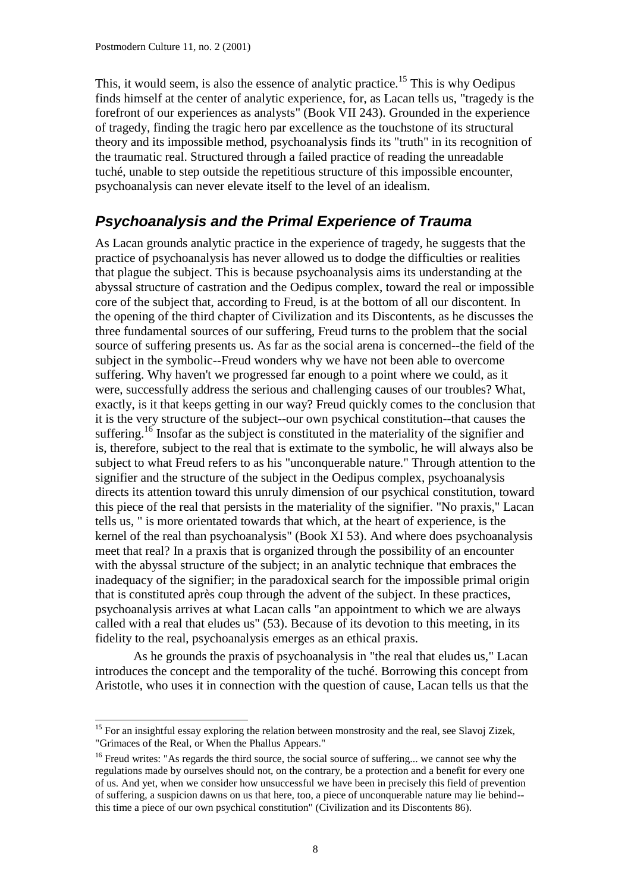This, it would seem, is also the essence of analytic practice.<sup>15</sup> This is why Oedipus finds himself at the center of analytic experience, for, as Lacan tells us, "tragedy is the forefront of our experiences as analysts" (Book VII 243). Grounded in the experience of tragedy, finding the tragic hero par excellence as the touchstone of its structural theory and its impossible method, psychoanalysis finds its "truth" in its recognition of the traumatic real. Structured through a failed practice of reading the unreadable tuché, unable to step outside the repetitious structure of this impossible encounter, psychoanalysis can never elevate itself to the level of an idealism.

#### *Psychoanalysis and the Primal Experience of Trauma*

As Lacan grounds analytic practice in the experience of tragedy, he suggests that the practice of psychoanalysis has never allowed us to dodge the difficulties or realities that plague the subject. This is because psychoanalysis aims its understanding at the abyssal structure of castration and the Oedipus complex, toward the real or impossible core of the subject that, according to Freud, is at the bottom of all our discontent. In the opening of the third chapter of Civilization and its Discontents, as he discusses the three fundamental sources of our suffering, Freud turns to the problem that the social source of suffering presents us. As far as the social arena is concerned--the field of the subject in the symbolic--Freud wonders why we have not been able to overcome suffering. Why haven't we progressed far enough to a point where we could, as it were, successfully address the serious and challenging causes of our troubles? What, exactly, is it that keeps getting in our way? Freud quickly comes to the conclusion that it is the very structure of the subject--our own psychical constitution--that causes the suffering.<sup>16</sup> Insofar as the subject is constituted in the materiality of the signifier and is, therefore, subject to the real that is extimate to the symbolic, he will always also be subject to what Freud refers to as his "unconquerable nature." Through attention to the signifier and the structure of the subject in the Oedipus complex, psychoanalysis directs its attention toward this unruly dimension of our psychical constitution, toward this piece of the real that persists in the materiality of the signifier. "No praxis," Lacan tells us, " is more orientated towards that which, at the heart of experience, is the kernel of the real than psychoanalysis" (Book XI 53). And where does psychoanalysis meet that real? In a praxis that is organized through the possibility of an encounter with the abyssal structure of the subject; in an analytic technique that embraces the inadequacy of the signifier; in the paradoxical search for the impossible primal origin that is constituted après coup through the advent of the subject. In these practices, psychoanalysis arrives at what Lacan calls "an appointment to which we are always called with a real that eludes us" (53). Because of its devotion to this meeting, in its fidelity to the real, psychoanalysis emerges as an ethical praxis.

As he grounds the praxis of psychoanalysis in "the real that eludes us," Lacan introduces the concept and the temporality of the tuché. Borrowing this concept from Aristotle, who uses it in connection with the question of cause, Lacan tells us that the

<sup>&</sup>lt;sup>15</sup> For an insightful essay exploring the relation between monstrosity and the real, see Slavoj Zizek, "Grimaces of the Real, or When the Phallus Appears."

<sup>&</sup>lt;sup>16</sup> Freud writes: "As regards the third source, the social source of suffering... we cannot see why the regulations made by ourselves should not, on the contrary, be a protection and a benefit for every one of us. And yet, when we consider how unsuccessful we have been in precisely this field of prevention of suffering, a suspicion dawns on us that here, too, a piece of unconquerable nature may lie behind- this time a piece of our own psychical constitution" (Civilization and its Discontents 86).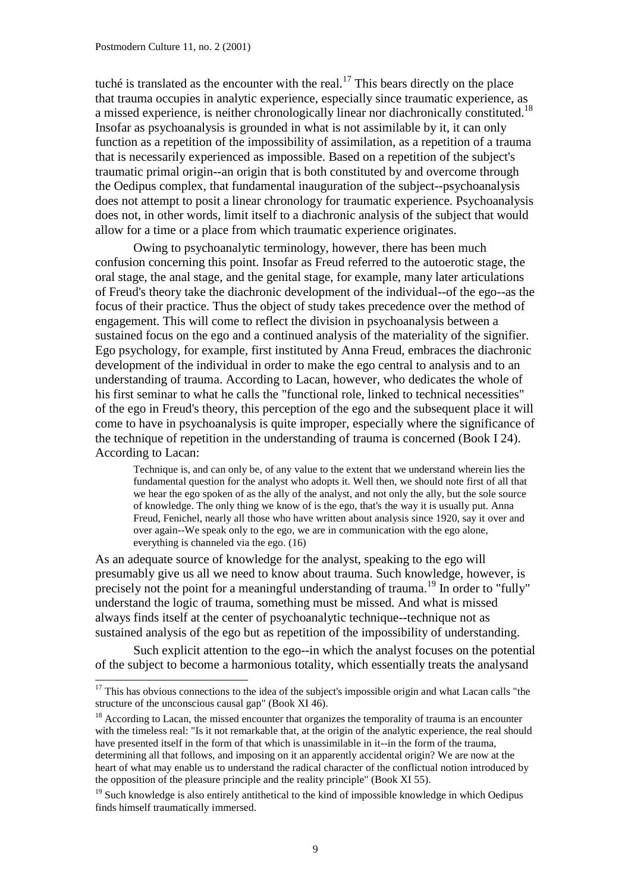tuché is translated as the encounter with the real.<sup>17</sup> This bears directly on the place that trauma occupies in analytic experience, especially since traumatic experience, as a missed experience, is neither chronologically linear nor diachronically constituted.<sup>18</sup> Insofar as psychoanalysis is grounded in what is not assimilable by it, it can only function as a repetition of the impossibility of assimilation, as a repetition of a trauma that is necessarily experienced as impossible. Based on a repetition of the subject's traumatic primal origin--an origin that is both constituted by and overcome through the Oedipus complex, that fundamental inauguration of the subject--psychoanalysis does not attempt to posit a linear chronology for traumatic experience. Psychoanalysis does not, in other words, limit itself to a diachronic analysis of the subject that would allow for a time or a place from which traumatic experience originates.

Owing to psychoanalytic terminology, however, there has been much confusion concerning this point. Insofar as Freud referred to the autoerotic stage, the oral stage, the anal stage, and the genital stage, for example, many later articulations of Freud's theory take the diachronic development of the individual--of the ego--as the focus of their practice. Thus the object of study takes precedence over the method of engagement. This will come to reflect the division in psychoanalysis between a sustained focus on the ego and a continued analysis of the materiality of the signifier. Ego psychology, for example, first instituted by Anna Freud, embraces the diachronic development of the individual in order to make the ego central to analysis and to an understanding of trauma. According to Lacan, however, who dedicates the whole of his first seminar to what he calls the "functional role, linked to technical necessities" of the ego in Freud's theory, this perception of the ego and the subsequent place it will come to have in psychoanalysis is quite improper, especially where the significance of the technique of repetition in the understanding of trauma is concerned (Book I 24). According to Lacan:

Technique is, and can only be, of any value to the extent that we understand wherein lies the fundamental question for the analyst who adopts it. Well then, we should note first of all that we hear the ego spoken of as the ally of the analyst, and not only the ally, but the sole source of knowledge. The only thing we know of is the ego, that's the way it is usually put. Anna Freud, Fenichel, nearly all those who have written about analysis since 1920, say it over and over again--We speak only to the ego, we are in communication with the ego alone, everything is channeled via the ego. (16)

As an adequate source of knowledge for the analyst, speaking to the ego will presumably give us all we need to know about trauma. Such knowledge, however, is precisely not the point for a meaningful understanding of trauma.<sup>19</sup> In order to "fully" understand the logic of trauma, something must be missed. And what is missed always finds itself at the center of psychoanalytic technique--technique not as sustained analysis of the ego but as repetition of the impossibility of understanding.

Such explicit attention to the ego--in which the analyst focuses on the potential of the subject to become a harmonious totality, which essentially treats the analysand

 $17$  This has obvious connections to the idea of the subject's impossible origin and what Lacan calls "the structure of the unconscious causal gap" (Book XI 46).

<sup>&</sup>lt;sup>18</sup> According to Lacan, the missed encounter that organizes the temporality of trauma is an encounter with the timeless real: "Is it not remarkable that, at the origin of the analytic experience, the real should have presented itself in the form of that which is unassimilable in it--in the form of the trauma, determining all that follows, and imposing on it an apparently accidental origin? We are now at the heart of what may enable us to understand the radical character of the conflictual notion introduced by the opposition of the pleasure principle and the reality principle" (Book XI 55).

 $19$  Such knowledge is also entirely antithetical to the kind of impossible knowledge in which Oedipus finds himself traumatically immersed.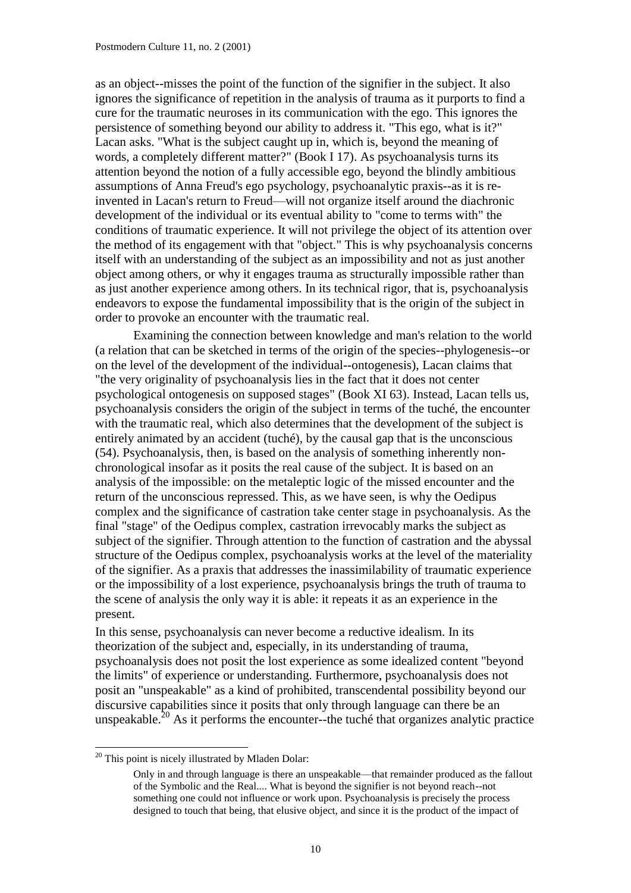as an object--misses the point of the function of the signifier in the subject. It also ignores the significance of repetition in the analysis of trauma as it purports to find a cure for the traumatic neuroses in its communication with the ego. This ignores the persistence of something beyond our ability to address it. "This ego, what is it?" Lacan asks. "What is the subject caught up in, which is, beyond the meaning of words, a completely different matter?" (Book I 17). As psychoanalysis turns its attention beyond the notion of a fully accessible ego, beyond the blindly ambitious assumptions of Anna Freud's ego psychology, psychoanalytic praxis--as it is reinvented in Lacan's return to Freud—will not organize itself around the diachronic development of the individual or its eventual ability to "come to terms with" the conditions of traumatic experience. It will not privilege the object of its attention over the method of its engagement with that "object." This is why psychoanalysis concerns itself with an understanding of the subject as an impossibility and not as just another object among others, or why it engages trauma as structurally impossible rather than as just another experience among others. In its technical rigor, that is, psychoanalysis endeavors to expose the fundamental impossibility that is the origin of the subject in order to provoke an encounter with the traumatic real.

Examining the connection between knowledge and man's relation to the world (a relation that can be sketched in terms of the origin of the species--phylogenesis--or on the level of the development of the individual--ontogenesis), Lacan claims that "the very originality of psychoanalysis lies in the fact that it does not center psychological ontogenesis on supposed stages" (Book XI 63). Instead, Lacan tells us, psychoanalysis considers the origin of the subject in terms of the tuché, the encounter with the traumatic real, which also determines that the development of the subject is entirely animated by an accident (tuché), by the causal gap that is the unconscious (54). Psychoanalysis, then, is based on the analysis of something inherently nonchronological insofar as it posits the real cause of the subject. It is based on an analysis of the impossible: on the metaleptic logic of the missed encounter and the return of the unconscious repressed. This, as we have seen, is why the Oedipus complex and the significance of castration take center stage in psychoanalysis. As the final "stage" of the Oedipus complex, castration irrevocably marks the subject as subject of the signifier. Through attention to the function of castration and the abyssal structure of the Oedipus complex, psychoanalysis works at the level of the materiality of the signifier. As a praxis that addresses the inassimilability of traumatic experience or the impossibility of a lost experience, psychoanalysis brings the truth of trauma to the scene of analysis the only way it is able: it repeats it as an experience in the present.

In this sense, psychoanalysis can never become a reductive idealism. In its theorization of the subject and, especially, in its understanding of trauma, psychoanalysis does not posit the lost experience as some idealized content "beyond the limits" of experience or understanding. Furthermore, psychoanalysis does not posit an "unspeakable" as a kind of prohibited, transcendental possibility beyond our discursive capabilities since it posits that only through language can there be an unspeakable.<sup>20</sup> As it performs the encounter--the tuché that organizes analytic practice

l

 $20$  This point is nicely illustrated by Mladen Dolar:

Only in and through language is there an unspeakable—that remainder produced as the fallout of the Symbolic and the Real.... What is beyond the signifier is not beyond reach--not something one could not influence or work upon. Psychoanalysis is precisely the process designed to touch that being, that elusive object, and since it is the product of the impact of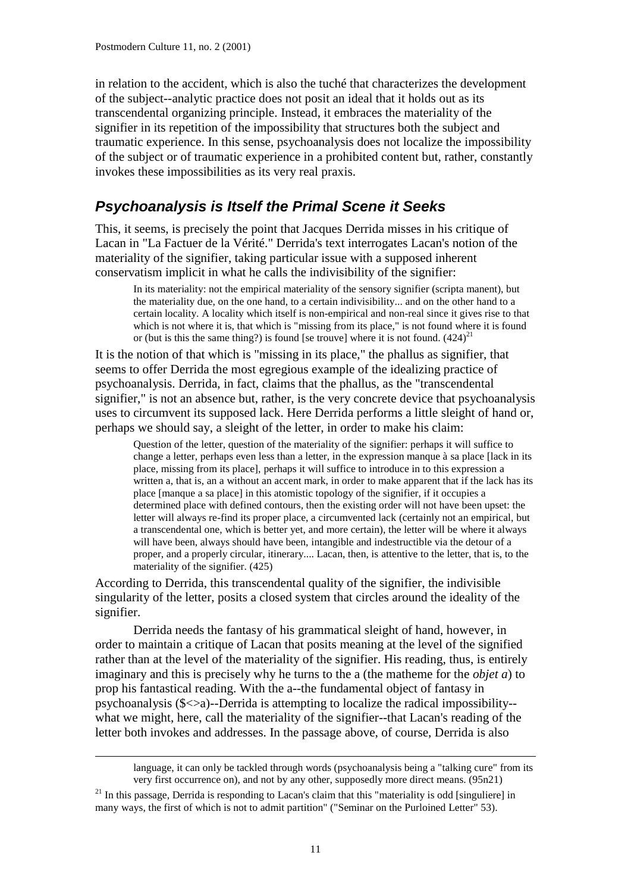in relation to the accident, which is also the tuché that characterizes the development of the subject--analytic practice does not posit an ideal that it holds out as its transcendental organizing principle. Instead, it embraces the materiality of the signifier in its repetition of the impossibility that structures both the subject and traumatic experience. In this sense, psychoanalysis does not localize the impossibility of the subject or of traumatic experience in a prohibited content but, rather, constantly invokes these impossibilities as its very real praxis.

#### *Psychoanalysis is Itself the Primal Scene it Seeks*

This, it seems, is precisely the point that Jacques Derrida misses in his critique of Lacan in "La Factuer de la Vérité." Derrida's text interrogates Lacan's notion of the materiality of the signifier, taking particular issue with a supposed inherent conservatism implicit in what he calls the indivisibility of the signifier:

In its materiality: not the empirical materiality of the sensory signifier (scripta manent), but the materiality due, on the one hand, to a certain indivisibility... and on the other hand to a certain locality. A locality which itself is non-empirical and non-real since it gives rise to that which is not where it is, that which is "missing from its place," is not found where it is found or (but is this the same thing?) is found [se trouve] where it is not found.  $(424)^{21}$ 

It is the notion of that which is "missing in its place," the phallus as signifier, that seems to offer Derrida the most egregious example of the idealizing practice of psychoanalysis. Derrida, in fact, claims that the phallus, as the "transcendental signifier," is not an absence but, rather, is the very concrete device that psychoanalysis uses to circumvent its supposed lack. Here Derrida performs a little sleight of hand or, perhaps we should say, a sleight of the letter, in order to make his claim:

Question of the letter, question of the materiality of the signifier: perhaps it will suffice to change a letter, perhaps even less than a letter, in the expression manque à sa place [lack in its place, missing from its place], perhaps it will suffice to introduce in to this expression a written a, that is, an a without an accent mark, in order to make apparent that if the lack has its place [manque a sa place] in this atomistic topology of the signifier, if it occupies a determined place with defined contours, then the existing order will not have been upset: the letter will always re-find its proper place, a circumvented lack (certainly not an empirical, but a transcendental one, which is better yet, and more certain), the letter will be where it always will have been, always should have been, intangible and indestructible via the detour of a proper, and a properly circular, itinerary.... Lacan, then, is attentive to the letter, that is, to the materiality of the signifier. (425)

According to Derrida, this transcendental quality of the signifier, the indivisible singularity of the letter, posits a closed system that circles around the ideality of the signifier.

Derrida needs the fantasy of his grammatical sleight of hand, however, in order to maintain a critique of Lacan that posits meaning at the level of the signified rather than at the level of the materiality of the signifier. His reading, thus, is entirely imaginary and this is precisely why he turns to the a (the matheme for the *objet a*) to prop his fantastical reading. With the a--the fundamental object of fantasy in psychoanalysis (\$<>a)--Derrida is attempting to localize the radical impossibility- what we might, here, call the materiality of the signifier--that Lacan's reading of the letter both invokes and addresses. In the passage above, of course, Derrida is also

-

language, it can only be tackled through words (psychoanalysis being a "talking cure" from its very first occurrence on), and not by any other, supposedly more direct means. (95n21)

 $21$  In this passage, Derrida is responding to Lacan's claim that this "materiality is odd [singuliere] in many ways, the first of which is not to admit partition" ("Seminar on the Purloined Letter" 53).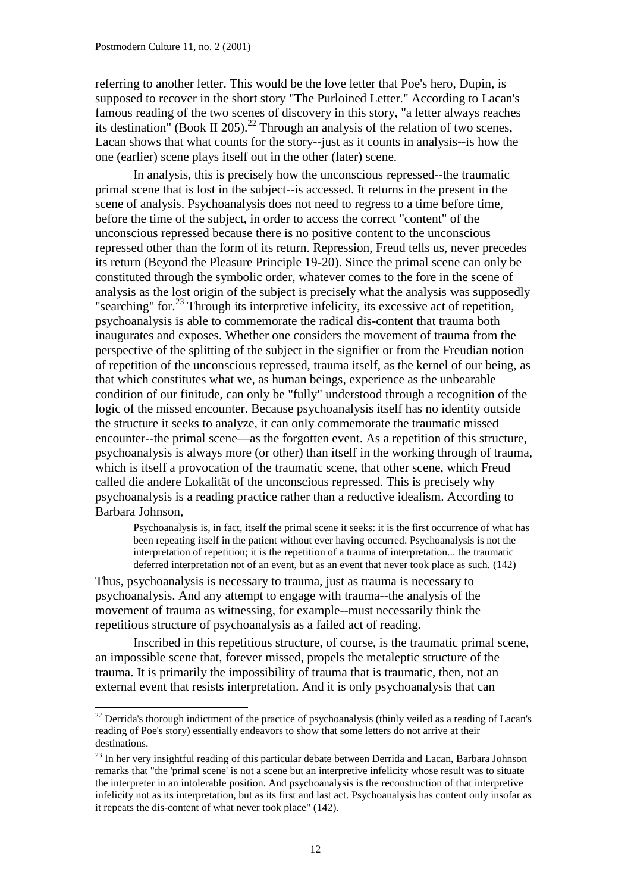referring to another letter. This would be the love letter that Poe's hero, Dupin, is supposed to recover in the short story "The Purloined Letter." According to Lacan's famous reading of the two scenes of discovery in this story, "a letter always reaches its destination" (Book II 205).<sup>22</sup> Through an analysis of the relation of two scenes, Lacan shows that what counts for the story--just as it counts in analysis--is how the one (earlier) scene plays itself out in the other (later) scene.

In analysis, this is precisely how the unconscious repressed--the traumatic primal scene that is lost in the subject--is accessed. It returns in the present in the scene of analysis. Psychoanalysis does not need to regress to a time before time, before the time of the subject, in order to access the correct "content" of the unconscious repressed because there is no positive content to the unconscious repressed other than the form of its return. Repression, Freud tells us, never precedes its return (Beyond the Pleasure Principle 19-20). Since the primal scene can only be constituted through the symbolic order, whatever comes to the fore in the scene of analysis as the lost origin of the subject is precisely what the analysis was supposedly "searching" for.<sup>23</sup> Through its interpretive infelicity, its excessive act of repetition, psychoanalysis is able to commemorate the radical dis-content that trauma both inaugurates and exposes. Whether one considers the movement of trauma from the perspective of the splitting of the subject in the signifier or from the Freudian notion of repetition of the unconscious repressed, trauma itself, as the kernel of our being, as that which constitutes what we, as human beings, experience as the unbearable condition of our finitude, can only be "fully" understood through a recognition of the logic of the missed encounter. Because psychoanalysis itself has no identity outside the structure it seeks to analyze, it can only commemorate the traumatic missed encounter--the primal scene—as the forgotten event. As a repetition of this structure, psychoanalysis is always more (or other) than itself in the working through of trauma, which is itself a provocation of the traumatic scene, that other scene, which Freud called die andere Lokalität of the unconscious repressed. This is precisely why psychoanalysis is a reading practice rather than a reductive idealism. According to Barbara Johnson,

Psychoanalysis is, in fact, itself the primal scene it seeks: it is the first occurrence of what has been repeating itself in the patient without ever having occurred. Psychoanalysis is not the interpretation of repetition; it is the repetition of a trauma of interpretation... the traumatic deferred interpretation not of an event, but as an event that never took place as such. (142)

Thus, psychoanalysis is necessary to trauma, just as trauma is necessary to psychoanalysis. And any attempt to engage with trauma--the analysis of the movement of trauma as witnessing, for example--must necessarily think the repetitious structure of psychoanalysis as a failed act of reading.

Inscribed in this repetitious structure, of course, is the traumatic primal scene, an impossible scene that, forever missed, propels the metaleptic structure of the trauma. It is primarily the impossibility of trauma that is traumatic, then, not an external event that resists interpretation. And it is only psychoanalysis that can

 $^{22}$  Derrida's thorough indictment of the practice of psychoanalysis (thinly veiled as a reading of Lacan's reading of Poe's story) essentially endeavors to show that some letters do not arrive at their destinations.

<sup>&</sup>lt;sup>23</sup> In her very insightful reading of this particular debate between Derrida and Lacan, Barbara Johnson remarks that "the 'primal scene' is not a scene but an interpretive infelicity whose result was to situate the interpreter in an intolerable position. And psychoanalysis is the reconstruction of that interpretive infelicity not as its interpretation, but as its first and last act. Psychoanalysis has content only insofar as it repeats the dis-content of what never took place" (142).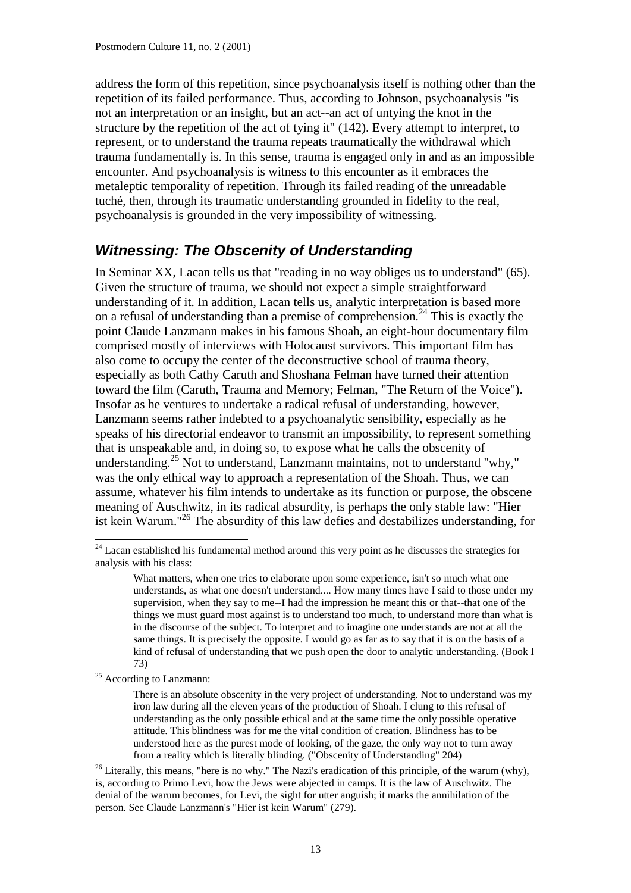address the form of this repetition, since psychoanalysis itself is nothing other than the repetition of its failed performance. Thus, according to Johnson, psychoanalysis "is not an interpretation or an insight, but an act--an act of untying the knot in the structure by the repetition of the act of tying it" (142). Every attempt to interpret, to represent, or to understand the trauma repeats traumatically the withdrawal which trauma fundamentally is. In this sense, trauma is engaged only in and as an impossible encounter. And psychoanalysis is witness to this encounter as it embraces the metaleptic temporality of repetition. Through its failed reading of the unreadable tuché, then, through its traumatic understanding grounded in fidelity to the real, psychoanalysis is grounded in the very impossibility of witnessing.

#### *Witnessing: The Obscenity of Understanding*

In Seminar XX, Lacan tells us that "reading in no way obliges us to understand" (65). Given the structure of trauma, we should not expect a simple straightforward understanding of it. In addition, Lacan tells us, analytic interpretation is based more on a refusal of understanding than a premise of comprehension.<sup>24</sup> This is exactly the point Claude Lanzmann makes in his famous Shoah, an eight-hour documentary film comprised mostly of interviews with Holocaust survivors. This important film has also come to occupy the center of the deconstructive school of trauma theory, especially as both Cathy Caruth and Shoshana Felman have turned their attention toward the film (Caruth, Trauma and Memory; Felman, "The Return of the Voice"). Insofar as he ventures to undertake a radical refusal of understanding, however, Lanzmann seems rather indebted to a psychoanalytic sensibility, especially as he speaks of his directorial endeavor to transmit an impossibility, to represent something that is unspeakable and, in doing so, to expose what he calls the obscenity of understanding.<sup>25</sup> Not to understand, Lanzmann maintains, not to understand "why," was the only ethical way to approach a representation of the Shoah. Thus, we can assume, whatever his film intends to undertake as its function or purpose, the obscene meaning of Auschwitz, in its radical absurdity, is perhaps the only stable law: "Hier ist kein Warum." <sup>26</sup> The absurdity of this law defies and destabilizes understanding, for

<sup>25</sup> According to Lanzmann:

l

<sup>&</sup>lt;sup>24</sup> Lacan established his fundamental method around this very point as he discusses the strategies for analysis with his class:

What matters, when one tries to elaborate upon some experience, isn't so much what one understands, as what one doesn't understand.... How many times have I said to those under my supervision, when they say to me--I had the impression he meant this or that--that one of the things we must guard most against is to understand too much, to understand more than what is in the discourse of the subject. To interpret and to imagine one understands are not at all the same things. It is precisely the opposite. I would go as far as to say that it is on the basis of a kind of refusal of understanding that we push open the door to analytic understanding. (Book I 73)

There is an absolute obscenity in the very project of understanding. Not to understand was my iron law during all the eleven years of the production of Shoah. I clung to this refusal of understanding as the only possible ethical and at the same time the only possible operative attitude. This blindness was for me the vital condition of creation. Blindness has to be understood here as the purest mode of looking, of the gaze, the only way not to turn away from a reality which is literally blinding. ("Obscenity of Understanding" 204)

<sup>&</sup>lt;sup>26</sup> Literally, this means, "here is no why." The Nazi's eradication of this principle, of the warum (why), is, according to Primo Levi, how the Jews were abjected in camps. It is the law of Auschwitz. The denial of the warum becomes, for Levi, the sight for utter anguish; it marks the annihilation of the person. See Claude Lanzmann's "Hier ist kein Warum" (279).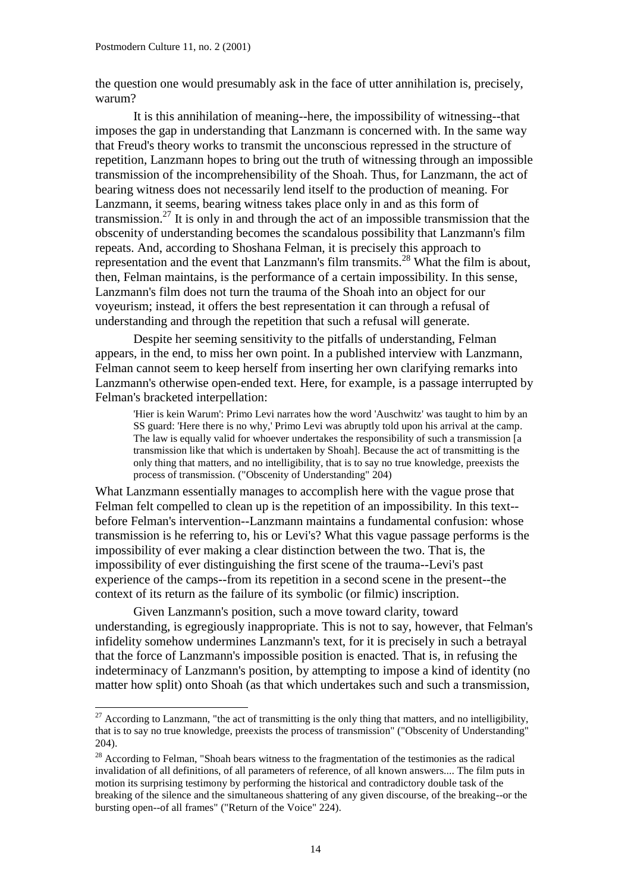the question one would presumably ask in the face of utter annihilation is, precisely, warum?

It is this annihilation of meaning--here, the impossibility of witnessing--that imposes the gap in understanding that Lanzmann is concerned with. In the same way that Freud's theory works to transmit the unconscious repressed in the structure of repetition, Lanzmann hopes to bring out the truth of witnessing through an impossible transmission of the incomprehensibility of the Shoah. Thus, for Lanzmann, the act of bearing witness does not necessarily lend itself to the production of meaning. For Lanzmann, it seems, bearing witness takes place only in and as this form of transmission.<sup>27</sup> It is only in and through the act of an impossible transmission that the obscenity of understanding becomes the scandalous possibility that Lanzmann's film repeats. And, according to Shoshana Felman, it is precisely this approach to representation and the event that Lanzmann's film transmits.<sup>28</sup> What the film is about, then, Felman maintains, is the performance of a certain impossibility. In this sense, Lanzmann's film does not turn the trauma of the Shoah into an object for our voyeurism; instead, it offers the best representation it can through a refusal of understanding and through the repetition that such a refusal will generate.

Despite her seeming sensitivity to the pitfalls of understanding, Felman appears, in the end, to miss her own point. In a published interview with Lanzmann, Felman cannot seem to keep herself from inserting her own clarifying remarks into Lanzmann's otherwise open-ended text. Here, for example, is a passage interrupted by Felman's bracketed interpellation:

'Hier is kein Warum': Primo Levi narrates how the word 'Auschwitz' was taught to him by an SS guard: 'Here there is no why,' Primo Levi was abruptly told upon his arrival at the camp. The law is equally valid for whoever undertakes the responsibility of such a transmission [a transmission like that which is undertaken by Shoah]. Because the act of transmitting is the only thing that matters, and no intelligibility, that is to say no true knowledge, preexists the process of transmission. ("Obscenity of Understanding" 204)

What Lanzmann essentially manages to accomplish here with the vague prose that Felman felt compelled to clean up is the repetition of an impossibility. In this text- before Felman's intervention--Lanzmann maintains a fundamental confusion: whose transmission is he referring to, his or Levi's? What this vague passage performs is the impossibility of ever making a clear distinction between the two. That is, the impossibility of ever distinguishing the first scene of the trauma--Levi's past experience of the camps--from its repetition in a second scene in the present--the context of its return as the failure of its symbolic (or filmic) inscription.

Given Lanzmann's position, such a move toward clarity, toward understanding, is egregiously inappropriate. This is not to say, however, that Felman's infidelity somehow undermines Lanzmann's text, for it is precisely in such a betrayal that the force of Lanzmann's impossible position is enacted. That is, in refusing the indeterminacy of Lanzmann's position, by attempting to impose a kind of identity (no matter how split) onto Shoah (as that which undertakes such and such a transmission,

<sup>&</sup>lt;sup>27</sup> According to Lanzmann, "the act of transmitting is the only thing that matters, and no intelligibility, that is to say no true knowledge, preexists the process of transmission" ("Obscenity of Understanding" 204).

<sup>&</sup>lt;sup>28</sup> According to Felman, "Shoah bears witness to the fragmentation of the testimonies as the radical invalidation of all definitions, of all parameters of reference, of all known answers.... The film puts in motion its surprising testimony by performing the historical and contradictory double task of the breaking of the silence and the simultaneous shattering of any given discourse, of the breaking--or the bursting open--of all frames" ("Return of the Voice" 224).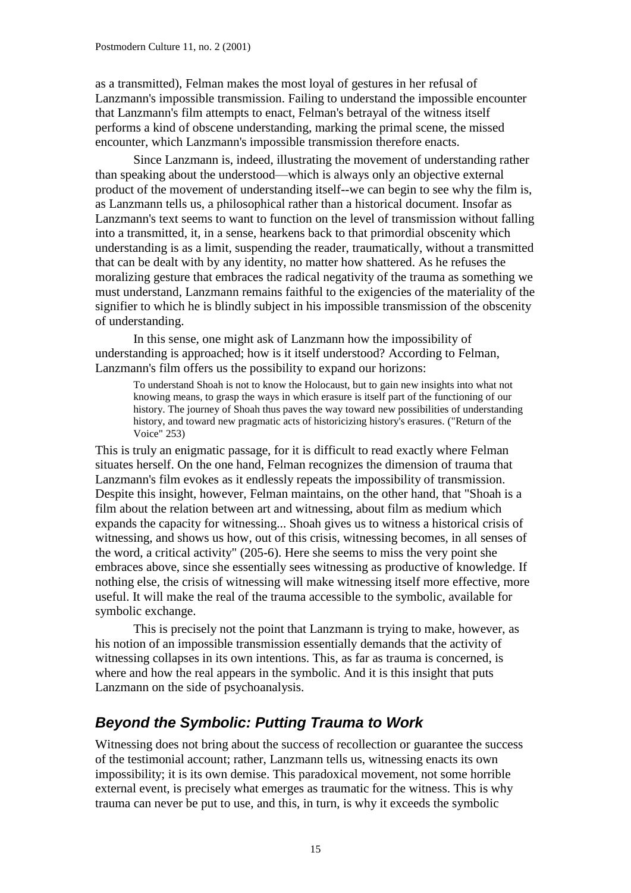as a transmitted), Felman makes the most loyal of gestures in her refusal of Lanzmann's impossible transmission. Failing to understand the impossible encounter that Lanzmann's film attempts to enact, Felman's betrayal of the witness itself performs a kind of obscene understanding, marking the primal scene, the missed encounter, which Lanzmann's impossible transmission therefore enacts.

Since Lanzmann is, indeed, illustrating the movement of understanding rather than speaking about the understood—which is always only an objective external product of the movement of understanding itself--we can begin to see why the film is, as Lanzmann tells us, a philosophical rather than a historical document. Insofar as Lanzmann's text seems to want to function on the level of transmission without falling into a transmitted, it, in a sense, hearkens back to that primordial obscenity which understanding is as a limit, suspending the reader, traumatically, without a transmitted that can be dealt with by any identity, no matter how shattered. As he refuses the moralizing gesture that embraces the radical negativity of the trauma as something we must understand, Lanzmann remains faithful to the exigencies of the materiality of the signifier to which he is blindly subject in his impossible transmission of the obscenity of understanding.

In this sense, one might ask of Lanzmann how the impossibility of understanding is approached; how is it itself understood? According to Felman, Lanzmann's film offers us the possibility to expand our horizons:

To understand Shoah is not to know the Holocaust, but to gain new insights into what not knowing means, to grasp the ways in which erasure is itself part of the functioning of our history. The journey of Shoah thus paves the way toward new possibilities of understanding history, and toward new pragmatic acts of historicizing history's erasures. ("Return of the Voice" 253)

This is truly an enigmatic passage, for it is difficult to read exactly where Felman situates herself. On the one hand, Felman recognizes the dimension of trauma that Lanzmann's film evokes as it endlessly repeats the impossibility of transmission. Despite this insight, however, Felman maintains, on the other hand, that "Shoah is a film about the relation between art and witnessing, about film as medium which expands the capacity for witnessing... Shoah gives us to witness a historical crisis of witnessing, and shows us how, out of this crisis, witnessing becomes, in all senses of the word, a critical activity" (205-6). Here she seems to miss the very point she embraces above, since she essentially sees witnessing as productive of knowledge. If nothing else, the crisis of witnessing will make witnessing itself more effective, more useful. It will make the real of the trauma accessible to the symbolic, available for symbolic exchange.

This is precisely not the point that Lanzmann is trying to make, however, as his notion of an impossible transmission essentially demands that the activity of witnessing collapses in its own intentions. This, as far as trauma is concerned, is where and how the real appears in the symbolic. And it is this insight that puts Lanzmann on the side of psychoanalysis.

#### *Beyond the Symbolic: Putting Trauma to Work*

Witnessing does not bring about the success of recollection or guarantee the success of the testimonial account; rather, Lanzmann tells us, witnessing enacts its own impossibility; it is its own demise. This paradoxical movement, not some horrible external event, is precisely what emerges as traumatic for the witness. This is why trauma can never be put to use, and this, in turn, is why it exceeds the symbolic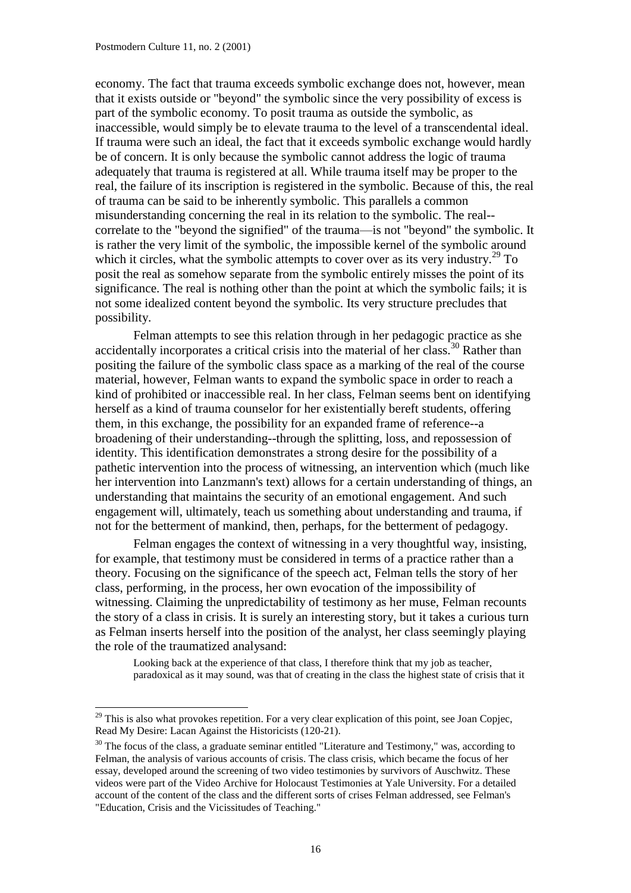economy. The fact that trauma exceeds symbolic exchange does not, however, mean that it exists outside or "beyond" the symbolic since the very possibility of excess is part of the symbolic economy. To posit trauma as outside the symbolic, as inaccessible, would simply be to elevate trauma to the level of a transcendental ideal. If trauma were such an ideal, the fact that it exceeds symbolic exchange would hardly be of concern. It is only because the symbolic cannot address the logic of trauma adequately that trauma is registered at all. While trauma itself may be proper to the real, the failure of its inscription is registered in the symbolic. Because of this, the real of trauma can be said to be inherently symbolic. This parallels a common misunderstanding concerning the real in its relation to the symbolic. The real- correlate to the "beyond the signified" of the trauma—is not "beyond" the symbolic. It is rather the very limit of the symbolic, the impossible kernel of the symbolic around which it circles, what the symbolic attempts to cover over as its very industry.<sup>29</sup> To posit the real as somehow separate from the symbolic entirely misses the point of its significance. The real is nothing other than the point at which the symbolic fails; it is not some idealized content beyond the symbolic. Its very structure precludes that possibility.

Felman attempts to see this relation through in her pedagogic practice as she accidentally incorporates a critical crisis into the material of her class.<sup>30</sup> Rather than positing the failure of the symbolic class space as a marking of the real of the course material, however, Felman wants to expand the symbolic space in order to reach a kind of prohibited or inaccessible real. In her class, Felman seems bent on identifying herself as a kind of trauma counselor for her existentially bereft students, offering them, in this exchange, the possibility for an expanded frame of reference--a broadening of their understanding--through the splitting, loss, and repossession of identity. This identification demonstrates a strong desire for the possibility of a pathetic intervention into the process of witnessing, an intervention which (much like her intervention into Lanzmann's text) allows for a certain understanding of things, an understanding that maintains the security of an emotional engagement. And such engagement will, ultimately, teach us something about understanding and trauma, if not for the betterment of mankind, then, perhaps, for the betterment of pedagogy.

Felman engages the context of witnessing in a very thoughtful way, insisting, for example, that testimony must be considered in terms of a practice rather than a theory. Focusing on the significance of the speech act, Felman tells the story of her class, performing, in the process, her own evocation of the impossibility of witnessing. Claiming the unpredictability of testimony as her muse, Felman recounts the story of a class in crisis. It is surely an interesting story, but it takes a curious turn as Felman inserts herself into the position of the analyst, her class seemingly playing the role of the traumatized analysand:

Looking back at the experience of that class, I therefore think that my job as teacher, paradoxical as it may sound, was that of creating in the class the highest state of crisis that it

 $^{29}$  This is also what provokes repetition. For a very clear explication of this point, see Joan Copjec, Read My Desire: Lacan Against the Historicists (120-21).

<sup>&</sup>lt;sup>30</sup> The focus of the class, a graduate seminar entitled "Literature and Testimony," was, according to Felman, the analysis of various accounts of crisis. The class crisis, which became the focus of her essay, developed around the screening of two video testimonies by survivors of Auschwitz. These videos were part of the Video Archive for Holocaust Testimonies at Yale University. For a detailed account of the content of the class and the different sorts of crises Felman addressed, see Felman's "Education, Crisis and the Vicissitudes of Teaching."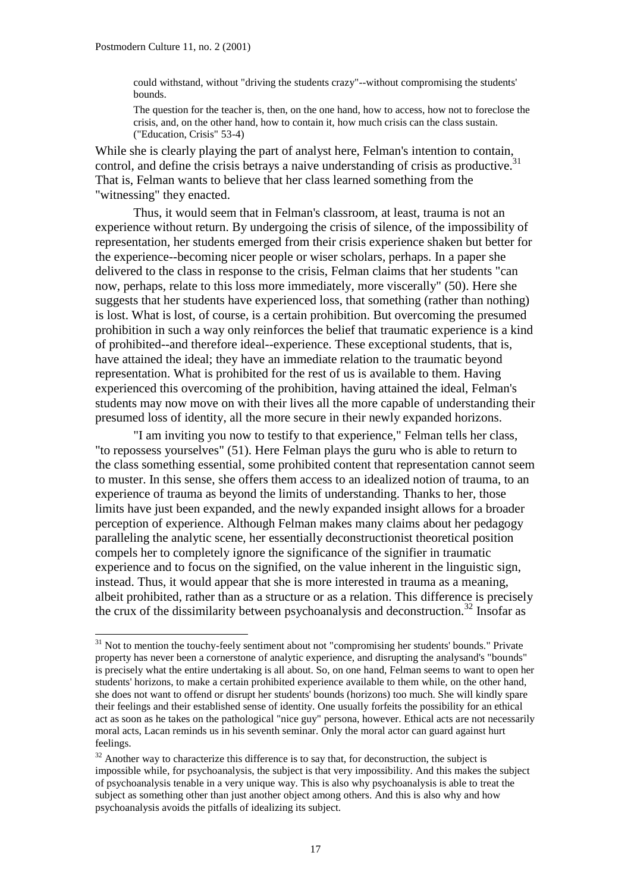could withstand, without "driving the students crazy"--without compromising the students' bounds.

The question for the teacher is, then, on the one hand, how to access, how not to foreclose the crisis, and, on the other hand, how to contain it, how much crisis can the class sustain. ("Education, Crisis" 53-4)

While she is clearly playing the part of analyst here, Felman's intention to contain, control, and define the crisis betrays a naive understanding of crisis as productive.<sup>31</sup> That is, Felman wants to believe that her class learned something from the "witnessing" they enacted.

Thus, it would seem that in Felman's classroom, at least, trauma is not an experience without return. By undergoing the crisis of silence, of the impossibility of representation, her students emerged from their crisis experience shaken but better for the experience--becoming nicer people or wiser scholars, perhaps. In a paper she delivered to the class in response to the crisis, Felman claims that her students "can now, perhaps, relate to this loss more immediately, more viscerally" (50). Here she suggests that her students have experienced loss, that something (rather than nothing) is lost. What is lost, of course, is a certain prohibition. But overcoming the presumed prohibition in such a way only reinforces the belief that traumatic experience is a kind of prohibited--and therefore ideal--experience. These exceptional students, that is, have attained the ideal; they have an immediate relation to the traumatic beyond representation. What is prohibited for the rest of us is available to them. Having experienced this overcoming of the prohibition, having attained the ideal, Felman's students may now move on with their lives all the more capable of understanding their presumed loss of identity, all the more secure in their newly expanded horizons.

"I am inviting you now to testify to that experience," Felman tells her class, "to repossess yourselves" (51). Here Felman plays the guru who is able to return to the class something essential, some prohibited content that representation cannot seem to muster. In this sense, she offers them access to an idealized notion of trauma, to an experience of trauma as beyond the limits of understanding. Thanks to her, those limits have just been expanded, and the newly expanded insight allows for a broader perception of experience. Although Felman makes many claims about her pedagogy paralleling the analytic scene, her essentially deconstructionist theoretical position compels her to completely ignore the significance of the signifier in traumatic experience and to focus on the signified, on the value inherent in the linguistic sign, instead. Thus, it would appear that she is more interested in trauma as a meaning, albeit prohibited, rather than as a structure or as a relation. This difference is precisely the crux of the dissimilarity between psychoanalysis and deconstruction.<sup>32</sup> Insofar as

 $31$  Not to mention the touchy-feely sentiment about not "compromising her students' bounds." Private property has never been a cornerstone of analytic experience, and disrupting the analysand's "bounds" is precisely what the entire undertaking is all about. So, on one hand, Felman seems to want to open her students' horizons, to make a certain prohibited experience available to them while, on the other hand, she does not want to offend or disrupt her students' bounds (horizons) too much. She will kindly spare their feelings and their established sense of identity. One usually forfeits the possibility for an ethical act as soon as he takes on the pathological "nice guy" persona, however. Ethical acts are not necessarily moral acts, Lacan reminds us in his seventh seminar. Only the moral actor can guard against hurt feelings.

 $32$  Another way to characterize this difference is to say that, for deconstruction, the subject is impossible while, for psychoanalysis, the subject is that very impossibility. And this makes the subject of psychoanalysis tenable in a very unique way. This is also why psychoanalysis is able to treat the subject as something other than just another object among others. And this is also why and how psychoanalysis avoids the pitfalls of idealizing its subject.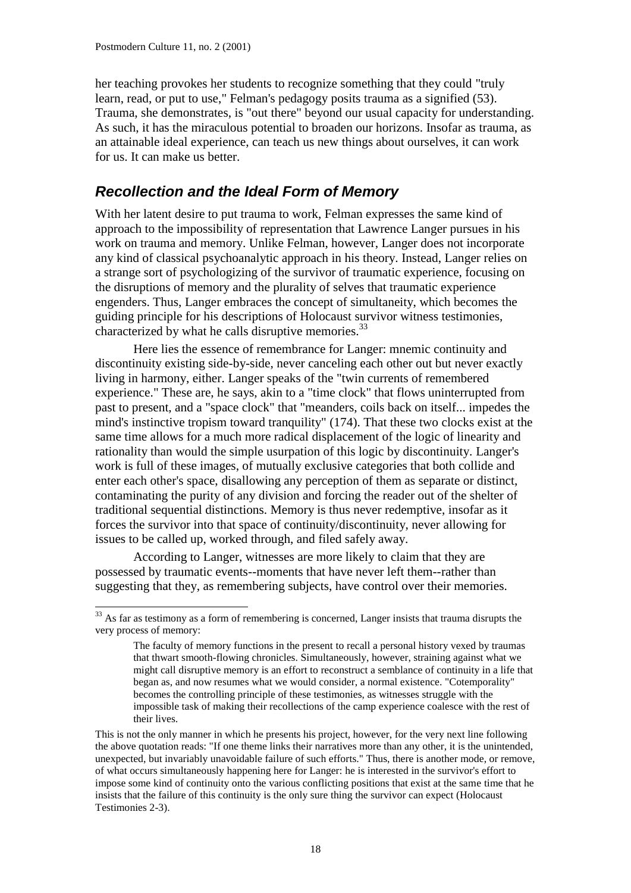her teaching provokes her students to recognize something that they could "truly learn, read, or put to use," Felman's pedagogy posits trauma as a signified (53). Trauma, she demonstrates, is "out there" beyond our usual capacity for understanding. As such, it has the miraculous potential to broaden our horizons. Insofar as trauma, as an attainable ideal experience, can teach us new things about ourselves, it can work for us. It can make us better.

#### *Recollection and the Ideal Form of Memory*

With her latent desire to put trauma to work, Felman expresses the same kind of approach to the impossibility of representation that Lawrence Langer pursues in his work on trauma and memory. Unlike Felman, however, Langer does not incorporate any kind of classical psychoanalytic approach in his theory. Instead, Langer relies on a strange sort of psychologizing of the survivor of traumatic experience, focusing on the disruptions of memory and the plurality of selves that traumatic experience engenders. Thus, Langer embraces the concept of simultaneity, which becomes the guiding principle for his descriptions of Holocaust survivor witness testimonies, characterized by what he calls disruptive memories.<sup>33</sup>

Here lies the essence of remembrance for Langer: mnemic continuity and discontinuity existing side-by-side, never canceling each other out but never exactly living in harmony, either. Langer speaks of the "twin currents of remembered experience." These are, he says, akin to a "time clock" that flows uninterrupted from past to present, and a "space clock" that "meanders, coils back on itself... impedes the mind's instinctive tropism toward tranquility" (174). That these two clocks exist at the same time allows for a much more radical displacement of the logic of linearity and rationality than would the simple usurpation of this logic by discontinuity. Langer's work is full of these images, of mutually exclusive categories that both collide and enter each other's space, disallowing any perception of them as separate or distinct, contaminating the purity of any division and forcing the reader out of the shelter of traditional sequential distinctions. Memory is thus never redemptive, insofar as it forces the survivor into that space of continuity/discontinuity, never allowing for issues to be called up, worked through, and filed safely away.

According to Langer, witnesses are more likely to claim that they are possessed by traumatic events--moments that have never left them--rather than suggesting that they, as remembering subjects, have control over their memories.

<sup>&</sup>lt;sup>33</sup> As far as testimony as a form of remembering is concerned, Langer insists that trauma disrupts the very process of memory:

The faculty of memory functions in the present to recall a personal history vexed by traumas that thwart smooth-flowing chronicles. Simultaneously, however, straining against what we might call disruptive memory is an effort to reconstruct a semblance of continuity in a life that began as, and now resumes what we would consider, a normal existence. "Cotemporality" becomes the controlling principle of these testimonies, as witnesses struggle with the impossible task of making their recollections of the camp experience coalesce with the rest of their lives.

This is not the only manner in which he presents his project, however, for the very next line following the above quotation reads: "If one theme links their narratives more than any other, it is the unintended, unexpected, but invariably unavoidable failure of such efforts." Thus, there is another mode, or remove, of what occurs simultaneously happening here for Langer: he is interested in the survivor's effort to impose some kind of continuity onto the various conflicting positions that exist at the same time that he insists that the failure of this continuity is the only sure thing the survivor can expect (Holocaust Testimonies 2-3).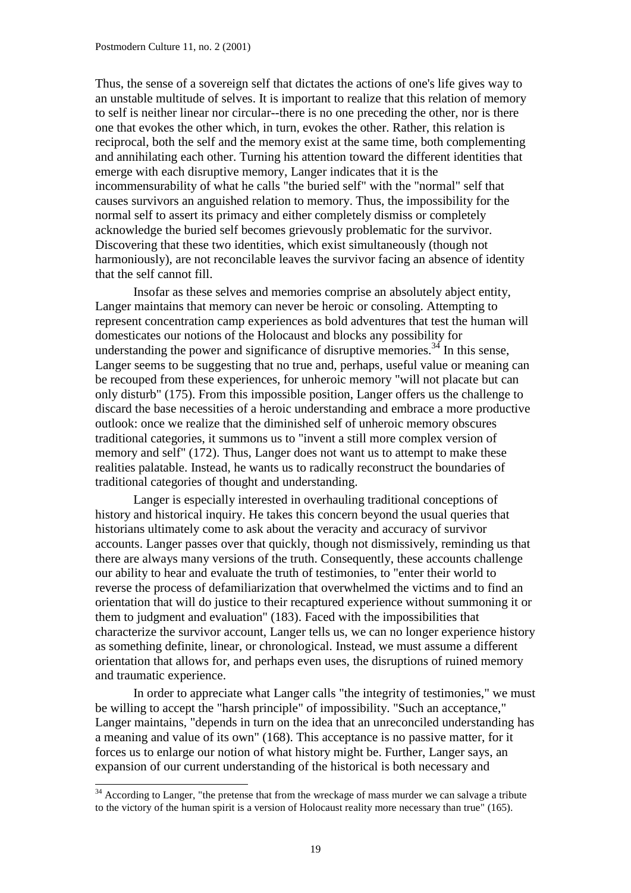Thus, the sense of a sovereign self that dictates the actions of one's life gives way to an unstable multitude of selves. It is important to realize that this relation of memory to self is neither linear nor circular--there is no one preceding the other, nor is there one that evokes the other which, in turn, evokes the other. Rather, this relation is reciprocal, both the self and the memory exist at the same time, both complementing and annihilating each other. Turning his attention toward the different identities that emerge with each disruptive memory, Langer indicates that it is the incommensurability of what he calls "the buried self" with the "normal" self that causes survivors an anguished relation to memory. Thus, the impossibility for the normal self to assert its primacy and either completely dismiss or completely acknowledge the buried self becomes grievously problematic for the survivor. Discovering that these two identities, which exist simultaneously (though not harmoniously), are not reconcilable leaves the survivor facing an absence of identity that the self cannot fill.

Insofar as these selves and memories comprise an absolutely abject entity, Langer maintains that memory can never be heroic or consoling. Attempting to represent concentration camp experiences as bold adventures that test the human will domesticates our notions of the Holocaust and blocks any possibility for understanding the power and significance of disruptive memories.<sup>34</sup> In this sense, Langer seems to be suggesting that no true and, perhaps, useful value or meaning can be recouped from these experiences, for unheroic memory "will not placate but can only disturb" (175). From this impossible position, Langer offers us the challenge to discard the base necessities of a heroic understanding and embrace a more productive outlook: once we realize that the diminished self of unheroic memory obscures traditional categories, it summons us to "invent a still more complex version of memory and self" (172). Thus, Langer does not want us to attempt to make these realities palatable. Instead, he wants us to radically reconstruct the boundaries of traditional categories of thought and understanding.

Langer is especially interested in overhauling traditional conceptions of history and historical inquiry. He takes this concern beyond the usual queries that historians ultimately come to ask about the veracity and accuracy of survivor accounts. Langer passes over that quickly, though not dismissively, reminding us that there are always many versions of the truth. Consequently, these accounts challenge our ability to hear and evaluate the truth of testimonies, to "enter their world to reverse the process of defamiliarization that overwhelmed the victims and to find an orientation that will do justice to their recaptured experience without summoning it or them to judgment and evaluation" (183). Faced with the impossibilities that characterize the survivor account, Langer tells us, we can no longer experience history as something definite, linear, or chronological. Instead, we must assume a different orientation that allows for, and perhaps even uses, the disruptions of ruined memory and traumatic experience.

In order to appreciate what Langer calls "the integrity of testimonies," we must be willing to accept the "harsh principle" of impossibility. "Such an acceptance," Langer maintains, "depends in turn on the idea that an unreconciled understanding has a meaning and value of its own" (168). This acceptance is no passive matter, for it forces us to enlarge our notion of what history might be. Further, Langer says, an expansion of our current understanding of the historical is both necessary and

l

 $34$  According to Langer, "the pretense that from the wreckage of mass murder we can salvage a tribute to the victory of the human spirit is a version of Holocaust reality more necessary than true" (165).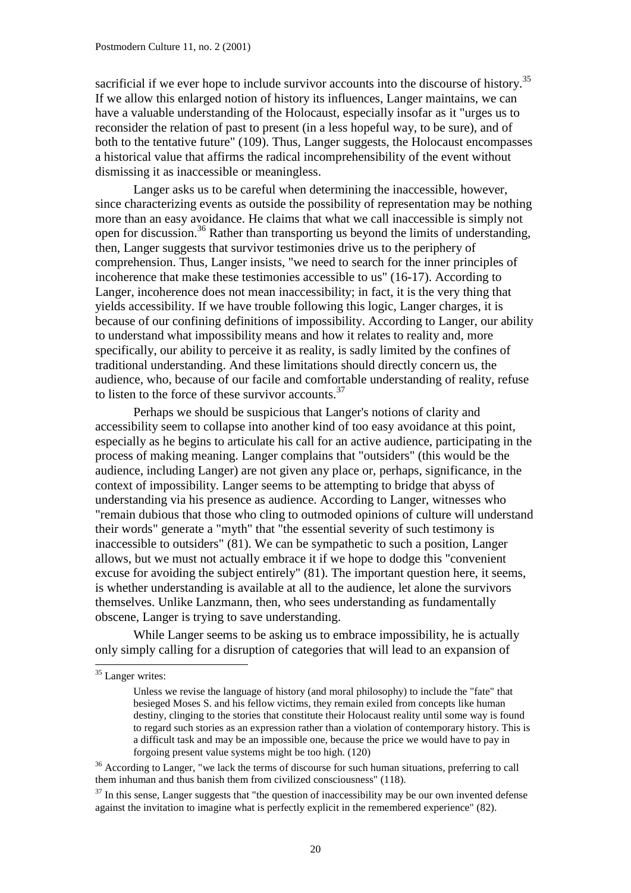sacrificial if we ever hope to include survivor accounts into the discourse of history.<sup>35</sup> If we allow this enlarged notion of history its influences, Langer maintains, we can have a valuable understanding of the Holocaust, especially insofar as it "urges us to reconsider the relation of past to present (in a less hopeful way, to be sure), and of both to the tentative future" (109). Thus, Langer suggests, the Holocaust encompasses a historical value that affirms the radical incomprehensibility of the event without dismissing it as inaccessible or meaningless.

Langer asks us to be careful when determining the inaccessible, however, since characterizing events as outside the possibility of representation may be nothing more than an easy avoidance. He claims that what we call inaccessible is simply not open for discussion.<sup>36</sup> Rather than transporting us beyond the limits of understanding, then, Langer suggests that survivor testimonies drive us to the periphery of comprehension. Thus, Langer insists, "we need to search for the inner principles of incoherence that make these testimonies accessible to us" (16-17). According to Langer, incoherence does not mean inaccessibility; in fact, it is the very thing that yields accessibility. If we have trouble following this logic, Langer charges, it is because of our confining definitions of impossibility. According to Langer, our ability to understand what impossibility means and how it relates to reality and, more specifically, our ability to perceive it as reality, is sadly limited by the confines of traditional understanding. And these limitations should directly concern us, the audience, who, because of our facile and comfortable understanding of reality, refuse to listen to the force of these survivor accounts. $37$ 

Perhaps we should be suspicious that Langer's notions of clarity and accessibility seem to collapse into another kind of too easy avoidance at this point, especially as he begins to articulate his call for an active audience, participating in the process of making meaning. Langer complains that "outsiders" (this would be the audience, including Langer) are not given any place or, perhaps, significance, in the context of impossibility. Langer seems to be attempting to bridge that abyss of understanding via his presence as audience. According to Langer, witnesses who "remain dubious that those who cling to outmoded opinions of culture will understand their words" generate a "myth" that "the essential severity of such testimony is inaccessible to outsiders" (81). We can be sympathetic to such a position, Langer allows, but we must not actually embrace it if we hope to dodge this "convenient excuse for avoiding the subject entirely" (81). The important question here, it seems, is whether understanding is available at all to the audience, let alone the survivors themselves. Unlike Lanzmann, then, who sees understanding as fundamentally obscene, Langer is trying to save understanding.

While Langer seems to be asking us to embrace impossibility, he is actually only simply calling for a disruption of categories that will lead to an expansion of

l

<sup>&</sup>lt;sup>35</sup> Langer writes:

Unless we revise the language of history (and moral philosophy) to include the "fate" that besieged Moses S. and his fellow victims, they remain exiled from concepts like human destiny, clinging to the stories that constitute their Holocaust reality until some way is found to regard such stories as an expression rather than a violation of contemporary history. This is a difficult task and may be an impossible one, because the price we would have to pay in forgoing present value systems might be too high. (120)

<sup>&</sup>lt;sup>36</sup> According to Langer, "we lack the terms of discourse for such human situations, preferring to call them inhuman and thus banish them from civilized consciousness" (118).

 $37$  In this sense, Langer suggests that "the question of inaccessibility may be our own invented defense against the invitation to imagine what is perfectly explicit in the remembered experience" (82).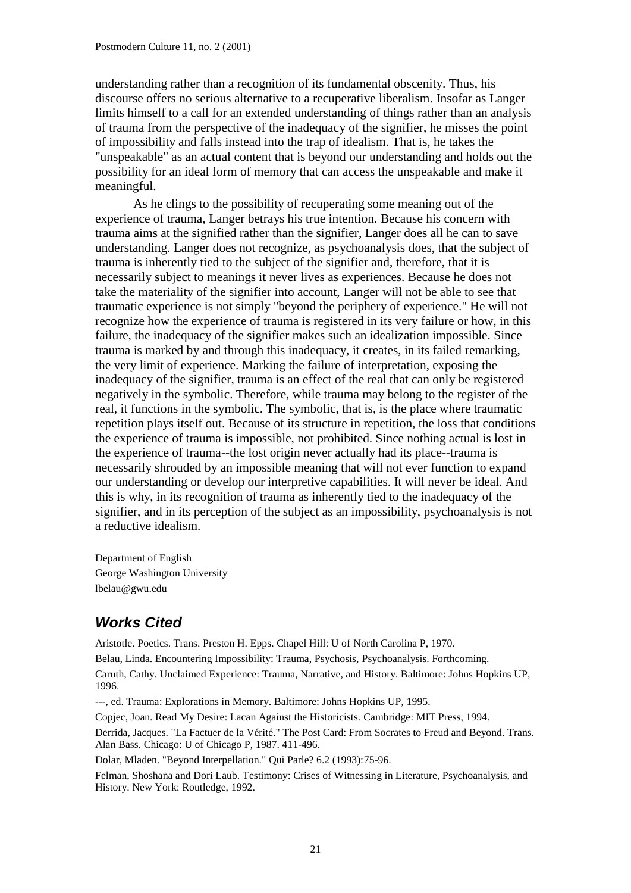understanding rather than a recognition of its fundamental obscenity. Thus, his discourse offers no serious alternative to a recuperative liberalism. Insofar as Langer limits himself to a call for an extended understanding of things rather than an analysis of trauma from the perspective of the inadequacy of the signifier, he misses the point of impossibility and falls instead into the trap of idealism. That is, he takes the "unspeakable" as an actual content that is beyond our understanding and holds out the possibility for an ideal form of memory that can access the unspeakable and make it meaningful.

As he clings to the possibility of recuperating some meaning out of the experience of trauma, Langer betrays his true intention. Because his concern with trauma aims at the signified rather than the signifier, Langer does all he can to save understanding. Langer does not recognize, as psychoanalysis does, that the subject of trauma is inherently tied to the subject of the signifier and, therefore, that it is necessarily subject to meanings it never lives as experiences. Because he does not take the materiality of the signifier into account, Langer will not be able to see that traumatic experience is not simply "beyond the periphery of experience." He will not recognize how the experience of trauma is registered in its very failure or how, in this failure, the inadequacy of the signifier makes such an idealization impossible. Since trauma is marked by and through this inadequacy, it creates, in its failed remarking, the very limit of experience. Marking the failure of interpretation, exposing the inadequacy of the signifier, trauma is an effect of the real that can only be registered negatively in the symbolic. Therefore, while trauma may belong to the register of the real, it functions in the symbolic. The symbolic, that is, is the place where traumatic repetition plays itself out. Because of its structure in repetition, the loss that conditions the experience of trauma is impossible, not prohibited. Since nothing actual is lost in the experience of trauma--the lost origin never actually had its place--trauma is necessarily shrouded by an impossible meaning that will not ever function to expand our understanding or develop our interpretive capabilities. It will never be ideal. And this is why, in its recognition of trauma as inherently tied to the inadequacy of the signifier, and in its perception of the subject as an impossibility, psychoanalysis is not a reductive idealism.

Department of English George Washington University lbelau@gwu.edu

# *Works Cited*

Aristotle. Poetics. Trans. Preston H. Epps. Chapel Hill: U of North Carolina P, 1970.

Belau, Linda. Encountering Impossibility: Trauma, Psychosis, Psychoanalysis. Forthcoming. Caruth, Cathy. Unclaimed Experience: Trauma, Narrative, and History. Baltimore: Johns Hopkins UP, 1996.

---, ed. Trauma: Explorations in Memory. Baltimore: Johns Hopkins UP, 1995.

Copjec, Joan. Read My Desire: Lacan Against the Historicists. Cambridge: MIT Press, 1994.

Derrida, Jacques. "La Factuer de la Vérité." The Post Card: From Socrates to Freud and Beyond. Trans. Alan Bass. Chicago: U of Chicago P, 1987. 411-496.

Dolar, Mladen. "Beyond Interpellation." Qui Parle? 6.2 (1993):75-96.

Felman, Shoshana and Dori Laub. Testimony: Crises of Witnessing in Literature, Psychoanalysis, and History. New York: Routledge, 1992.